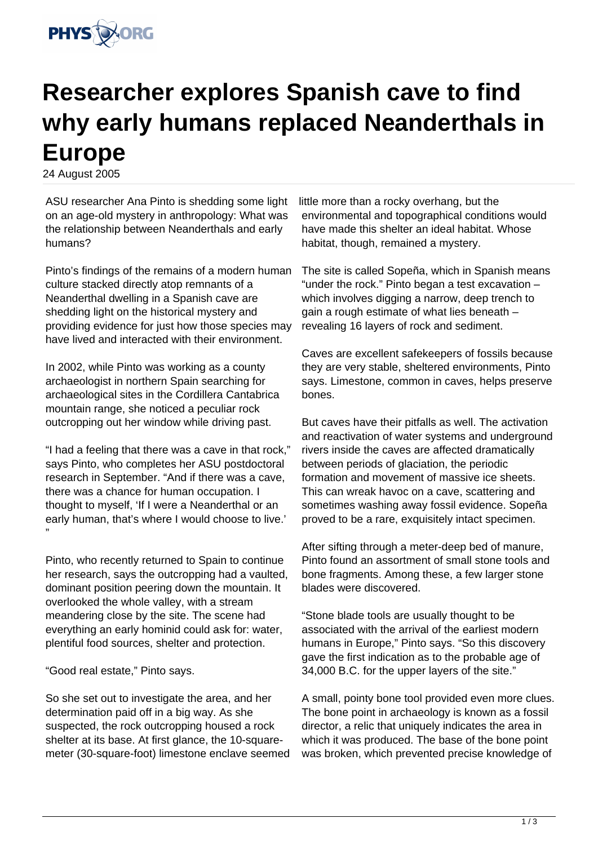

## **Researcher explores Spanish cave to find why early humans replaced Neanderthals in Europe**

24 August 2005

ASU researcher Ana Pinto is shedding some light on an age-old mystery in anthropology: What was the relationship between Neanderthals and early humans?

Pinto's findings of the remains of a modern human culture stacked directly atop remnants of a Neanderthal dwelling in a Spanish cave are shedding light on the historical mystery and providing evidence for just how those species may have lived and interacted with their environment.

In 2002, while Pinto was working as a county archaeologist in northern Spain searching for archaeological sites in the Cordillera Cantabrica mountain range, she noticed a peculiar rock outcropping out her window while driving past.

"I had a feeling that there was a cave in that rock," says Pinto, who completes her ASU postdoctoral research in September. "And if there was a cave, there was a chance for human occupation. I thought to myself, 'If I were a Neanderthal or an early human, that's where I would choose to live.' "

Pinto, who recently returned to Spain to continue her research, says the outcropping had a vaulted, dominant position peering down the mountain. It overlooked the whole valley, with a stream meandering close by the site. The scene had everything an early hominid could ask for: water, plentiful food sources, shelter and protection.

"Good real estate," Pinto says.

So she set out to investigate the area, and her determination paid off in a big way. As she suspected, the rock outcropping housed a rock shelter at its base. At first glance, the 10-squaremeter (30-square-foot) limestone enclave seemed little more than a rocky overhang, but the environmental and topographical conditions would have made this shelter an ideal habitat. Whose habitat, though, remained a mystery.

The site is called Sopeña, which in Spanish means "under the rock." Pinto began a test excavation – which involves digging a narrow, deep trench to gain a rough estimate of what lies beneath – revealing 16 layers of rock and sediment.

Caves are excellent safekeepers of fossils because they are very stable, sheltered environments, Pinto says. Limestone, common in caves, helps preserve bones.

But caves have their pitfalls as well. The activation and reactivation of water systems and underground rivers inside the caves are affected dramatically between periods of glaciation, the periodic formation and movement of massive ice sheets. This can wreak havoc on a cave, scattering and sometimes washing away fossil evidence. Sopeña proved to be a rare, exquisitely intact specimen.

After sifting through a meter-deep bed of manure, Pinto found an assortment of small stone tools and bone fragments. Among these, a few larger stone blades were discovered.

"Stone blade tools are usually thought to be associated with the arrival of the earliest modern humans in Europe," Pinto says. "So this discovery gave the first indication as to the probable age of 34,000 B.C. for the upper layers of the site."

A small, pointy bone tool provided even more clues. The bone point in archaeology is known as a fossil director, a relic that uniquely indicates the area in which it was produced. The base of the bone point was broken, which prevented precise knowledge of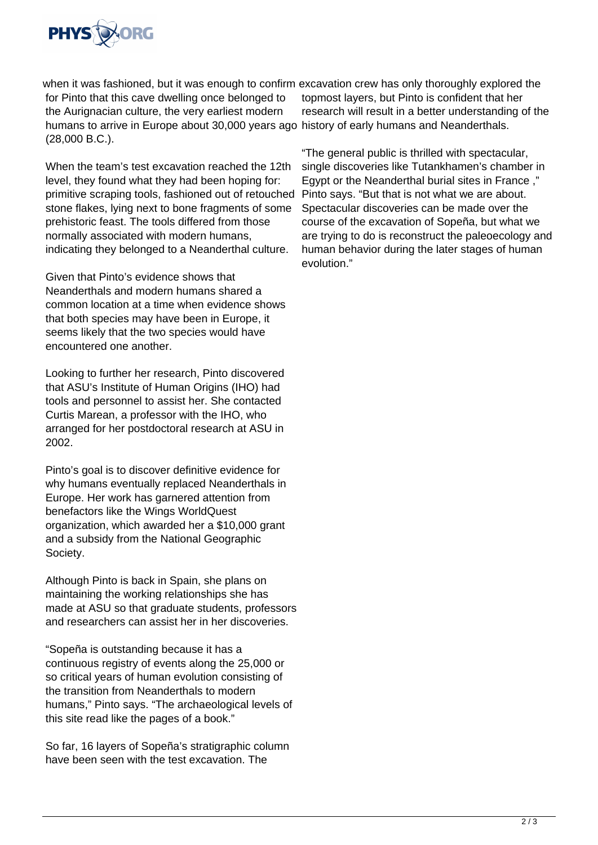

when it was fashioned, but it was enough to confirm excavation crew has only thoroughly explored the for Pinto that this cave dwelling once belonged to the Aurignacian culture, the very earliest modern humans to arrive in Europe about 30,000 years ago history of early humans and Neanderthals. (28,000 B.C.).

When the team's test excavation reached the 12th level, they found what they had been hoping for: primitive scraping tools, fashioned out of retouched stone flakes, lying next to bone fragments of some prehistoric feast. The tools differed from those normally associated with modern humans, indicating they belonged to a Neanderthal culture.

Given that Pinto's evidence shows that Neanderthals and modern humans shared a common location at a time when evidence shows that both species may have been in Europe, it seems likely that the two species would have encountered one another.

Looking to further her research, Pinto discovered that ASU's Institute of Human Origins (IHO) had tools and personnel to assist her. She contacted Curtis Marean, a professor with the IHO, who arranged for her postdoctoral research at ASU in 2002.

Pinto's goal is to discover definitive evidence for why humans eventually replaced Neanderthals in Europe. Her work has garnered attention from benefactors like the Wings WorldQuest organization, which awarded her a \$10,000 grant and a subsidy from the National Geographic Society.

Although Pinto is back in Spain, she plans on maintaining the working relationships she has made at ASU so that graduate students, professors and researchers can assist her in her discoveries.

"Sopeña is outstanding because it has a continuous registry of events along the 25,000 or so critical years of human evolution consisting of the transition from Neanderthals to modern humans," Pinto says. "The archaeological levels of this site read like the pages of a book."

So far, 16 layers of Sopeña's stratigraphic column have been seen with the test excavation. The

topmost layers, but Pinto is confident that her research will result in a better understanding of the

"The general public is thrilled with spectacular, single discoveries like Tutankhamen's chamber in Egypt or the Neanderthal burial sites in France ," Pinto says. "But that is not what we are about. Spectacular discoveries can be made over the course of the excavation of Sopeña, but what we are trying to do is reconstruct the paleoecology and human behavior during the later stages of human evolution."